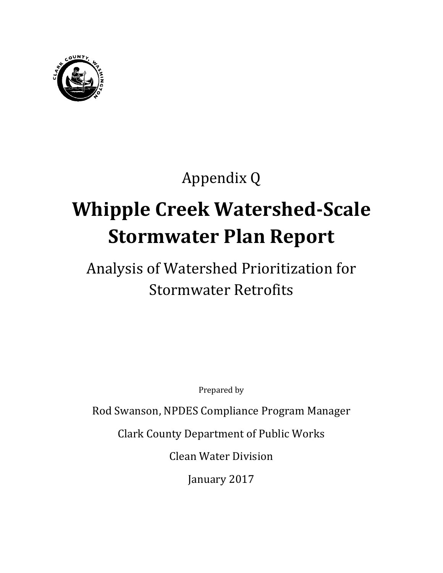

## Appendix Q

# **Whipple Creek Watershed-Scale Stormwater Plan Report**

## Analysis of Watershed Prioritization for Stormwater Retrofits

Prepared by

Rod Swanson, NPDES Compliance Program Manager

Clark County Department of Public Works

Clean Water Division

January 2017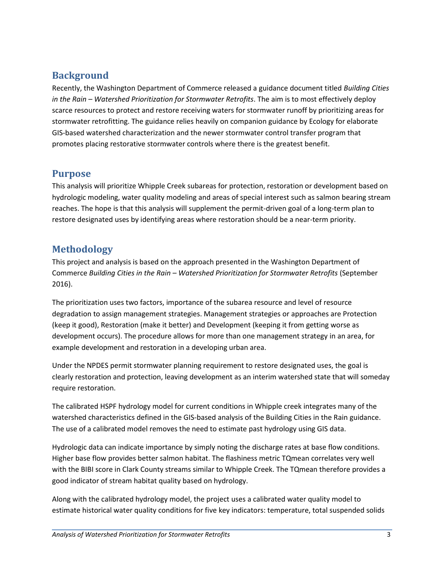#### <span id="page-4-0"></span>**Background**

Recently, the Washington Department of Commerce released a guidance document titled *Building Cities in the Rain – Watershed Prioritization for Stormwater Retrofits*. The aim is to most effectively deploy scarce resources to protect and restore receiving waters for stormwater runoff by prioritizing areas for stormwater retrofitting. The guidance relies heavily on companion guidance by Ecology for elaborate GIS-based watershed characterization and the newer stormwater control transfer program that promotes placing restorative stormwater controls where there is the greatest benefit.

#### <span id="page-4-1"></span>**Purpose**

This analysis will prioritize Whipple Creek subareas for protection, restoration or development based on hydrologic modeling, water quality modeling and areas of special interest such as salmon bearing stream reaches. The hope is that this analysis will supplement the permit-driven goal of a long-term plan to restore designated uses by identifying areas where restoration should be a near-term priority.

#### <span id="page-4-2"></span>**Methodology**

This project and analysis is based on the approach presented in the Washington Department of Commerce *Building Cities in the Rain – Watershed Prioritization for Stormwater Retrofits* (September 2016).

The prioritization uses two factors, importance of the subarea resource and level of resource degradation to assign management strategies. Management strategies or approaches are Protection (keep it good), Restoration (make it better) and Development (keeping it from getting worse as development occurs). The procedure allows for more than one management strategy in an area, for example development and restoration in a developing urban area.

Under the NPDES permit stormwater planning requirement to restore designated uses, the goal is clearly restoration and protection, leaving development as an interim watershed state that will someday require restoration.

The calibrated HSPF hydrology model for current conditions in Whipple creek integrates many of the watershed characteristics defined in the GIS-based analysis of the Building Cities in the Rain guidance. The use of a calibrated model removes the need to estimate past hydrology using GIS data.

Hydrologic data can indicate importance by simply noting the discharge rates at base flow conditions. Higher base flow provides better salmon habitat. The flashiness metric TQmean correlates very well with the BIBI score in Clark County streams similar to Whipple Creek. The TQmean therefore provides a good indicator of stream habitat quality based on hydrology.

Along with the calibrated hydrology model, the project uses a calibrated water quality model to estimate historical water quality conditions for five key indicators: temperature, total suspended solids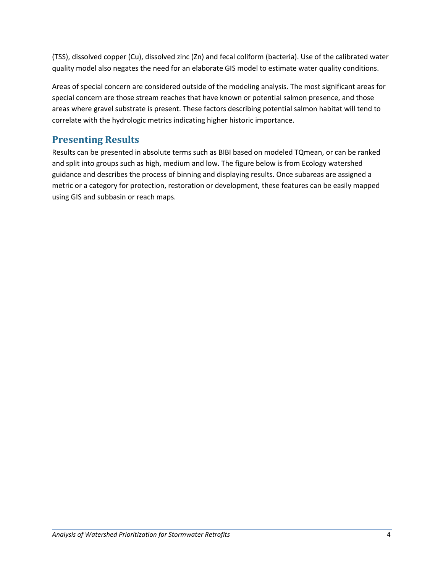(TSS), dissolved copper (Cu), dissolved zinc (Zn) and fecal coliform (bacteria). Use of the calibrated water quality model also negates the need for an elaborate GIS model to estimate water quality conditions.

Areas of special concern are considered outside of the modeling analysis. The most significant areas for special concern are those stream reaches that have known or potential salmon presence, and those areas where gravel substrate is present. These factors describing potential salmon habitat will tend to correlate with the hydrologic metrics indicating higher historic importance.

### **Presenting Results**

Results can be presented in absolute terms such as BIBI based on modeled TQmean, or can be ranked and split into groups such as high, medium and low. The figure below is from Ecology watershed guidance and describes the process of binning and displaying results. Once subareas are assigned a metric or a category for protection, restoration or development, these features can be easily mapped using GIS and subbasin or reach maps.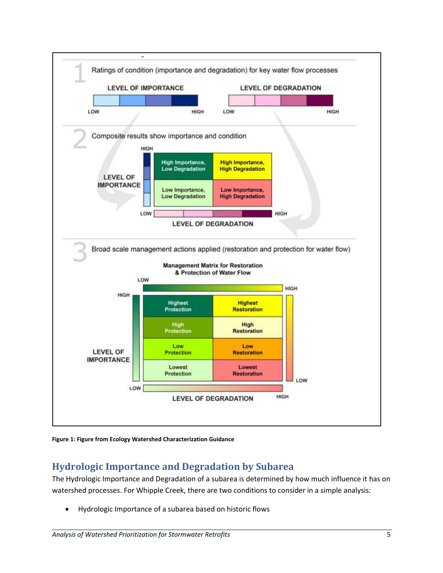



#### <span id="page-6-0"></span>**Hydrologic Importance and Degradation by Subarea**

The Hydrologic Importance and Degradation of a subarea is determined by how much influence it has on watershed processes. For Whipple Creek, there are two conditions to consider in a simple analysis:

Hydrologic Importance of a subarea based on historic flows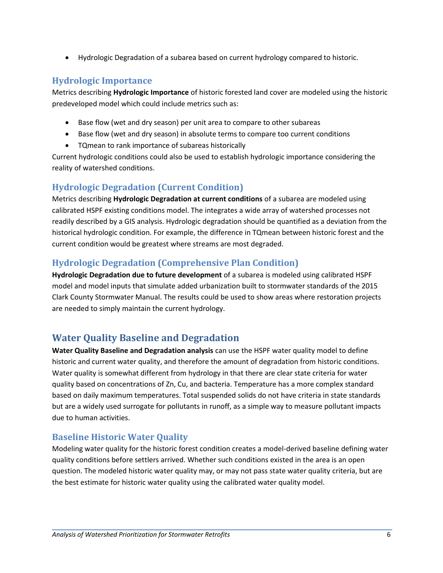Hydrologic Degradation of a subarea based on current hydrology compared to historic.

#### <span id="page-7-0"></span>**Hydrologic Importance**

Metrics describing **Hydrologic Importance** of historic forested land cover are modeled using the historic predeveloped model which could include metrics such as:

- Base flow (wet and dry season) per unit area to compare to other subareas
- Base flow (wet and dry season) in absolute terms to compare too current conditions
- TQmean to rank importance of subareas historically

Current hydrologic conditions could also be used to establish hydrologic importance considering the reality of watershed conditions.

#### <span id="page-7-1"></span>**Hydrologic Degradation (Current Condition)**

Metrics describing **Hydrologic Degradation at current conditions** of a subarea are modeled using calibrated HSPF existing conditions model. The integrates a wide array of watershed processes not readily described by a GIS analysis. Hydrologic degradation should be quantified as a deviation from the historical hydrologic condition. For example, the difference in TQmean between historic forest and the current condition would be greatest where streams are most degraded.

#### <span id="page-7-2"></span>**Hydrologic Degradation (Comprehensive Plan Condition)**

**Hydrologic Degradation due to future development** of a subarea is modeled using calibrated HSPF model and model inputs that simulate added urbanization built to stormwater standards of the 2015 Clark County Stormwater Manual. The results could be used to show areas where restoration projects are needed to simply maintain the current hydrology.

### <span id="page-7-3"></span>**Water Quality Baseline and Degradation**

**Water Quality Baseline and Degradation analysis** can use the HSPF water quality model to define historic and current water quality, and therefore the amount of degradation from historic conditions. Water quality is somewhat different from hydrology in that there are clear state criteria for water quality based on concentrations of Zn, Cu, and bacteria. Temperature has a more complex standard based on daily maximum temperatures. Total suspended solids do not have criteria in state standards but are a widely used surrogate for pollutants in runoff, as a simple way to measure pollutant impacts due to human activities.

#### <span id="page-7-4"></span>**Baseline Historic Water Quality**

Modeling water quality for the historic forest condition creates a model-derived baseline defining water quality conditions before settlers arrived. Whether such conditions existed in the area is an open question. The modeled historic water quality may, or may not pass state water quality criteria, but are the best estimate for historic water quality using the calibrated water quality model.